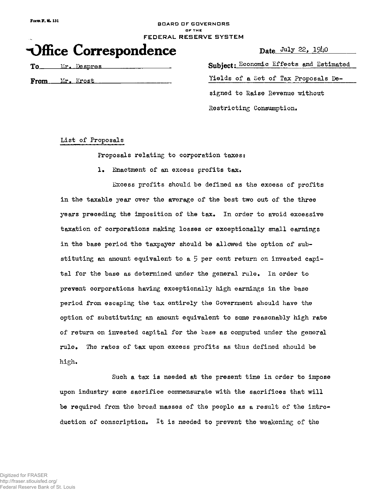#### BOARD OF GOVERNORS **O F TH E**  FEDERAL RESERVE SYSTEM

# **nDffice Correspondence**

Date July 22,  $19\mu$ 0

To Mr. Despres

From Mr. Krost

Subject: Economic Effects and Estimated Yields of a Set of Tax Proposals Designed to Raise Revenue without Restricting Consumption.

List of Proposals

Proposals relating to corporation taxes:

1. Enactment of an excess profits tax.

Excess profits should be defined as the excess of profits in the taxable year over the average of the best two out of the three years preceding the imposition of the tax. In order to avoid excessive taxation of corporations making losses or exceptionally small earnings in the base period the taxpayer should be allowed the option of substituting an amount equivalent to a 5 per cent return on invested capital for the base as determined under the general rule. In order to prevent corporations having exceptionally high earnings in the base period from escaping the tax entirely the Government should have the option of substituting an amount equivalent to some reasonably high rate of return on invested capital for the base as computed under the general rule. The rates of tax upon excess profits as thus defined should be high.

Such a tax is needed at the present time in order to impose upon industry some sacrifice commensurate with the sacrifices that will be required from the broad masses of the people as a result of the introduction of conscription. It is needed to prevent the weakening of the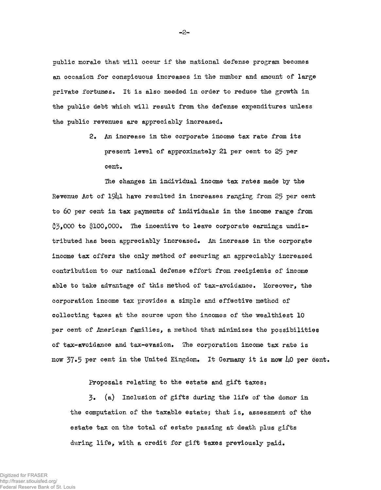public morale that will occur if the national defense program becomes an occasion for conspicuous increases in the number and amount of large private fortunes. It is also needed in order to reduce the growth in the public debt which will result from the defense expenditures unless the public revenues are appreciably increased.

> 2. An increase in the corporate income tax rate from its present level of approximately 21 per cent to 25 per cent.

The changes in individual income tax rates made by the Revenue Act of 1941 have resulted in increases ranging from 25 per cent to 60 per cent in tax payments of individuals in the income range from  $3,000$  to \$100,000. The incentive to leave corporate earnings undistributed has been appreciably increased. An increase in the corporate income tax offers the only method of securing an appreciably increased contribution to our national defense effort from recipients of income able to take advantage of this method of tax-avoidance. Moreover, the corporation income tax provides a simple and effective method of collecting taxes at the source upon the incomes of the wealthiest 10 per cent of American families, a method that minimizes the possibilities of tax-avoidance and tax-evasion. The corporation income tax rate is now  $37.5$  per cent in the United Kingdom. It Germany it is now  $\mu$ 0 per 6ent.

Proposals relating to the estate and gift taxes;

3 . (a) Inclusion of gifts during the life of the donor in the computation of the taxable estate; that is, assessment of the estate tax on the total of estate passing at death plus gifts during life, with a credit for gift taxes previously paid.

*•2'*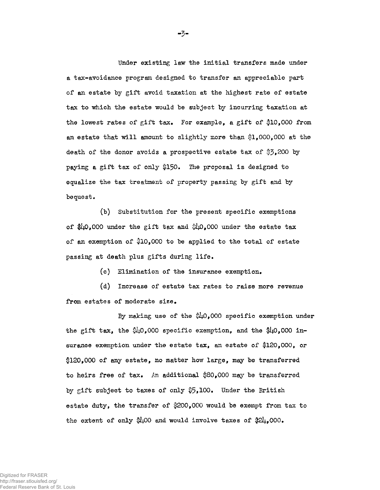Under existing law the initial transfers made under a tax-avoidance program designed to transfer an appreciable part of an estate by gift avoid taxation at the highest rate of estate tax to which the estate would be subject by incurring taxation at the lowest rates of gift tax. For example, a gift of \$10,000 from an estate that will amount to slightly more than \$1,000,000 at the death of the donor avoids a prospective estate tax of \$3,200 by paying a gift tax of only \$150. The proposal is designed to equalize the tax treatment of property passing by gift and by bequest.

(b) Substitution for the present specific exemptions of \$40,000 under the gift tax and \$40,000 under the estate tax of an exemption of \$10,000 to be applied to the total of estate passing at death plus gifts during life.

(c) Elimination of the insurance exemption.

(d) Increase of estate tax rates to raise more revenue from estates of moderate size.

By making use of the  $\frac{610}{100}$ .000 specific exemption under the gift tax, the  $$40,000$  specific exemption, and the  $$40,000$  insurance exemption under the estate tax, an estate of \$120,000, or \$120,000 of any estate, no matter how large, may be transferred to heirs free of tax. An additional  $$80,000$  may be transferred by gift subject to taxes of only  $$5,100$ . Under the British estate duty, the transfer of §200,000 would be exempt from tax to the extent of only  $100$  and would involve taxes of  $21,000$ .

**-3-**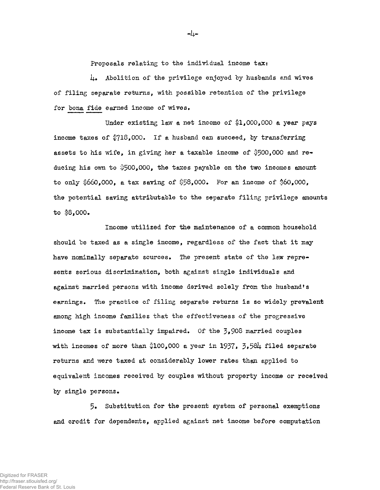Proposals relating to the individual income tax:

 $\mu_{\bullet}$  Abolition of the privilege enjoyed by husbands and wives of filing separate returns, with possible retention of the privilege for bona fide earned income of wives.

Under existing law a net income of  $1,000,000$  a year pays income taxes of  $$718,000$ . If a husband can succeed, by transferring assets to his wife, in giving her a taxable income of  $$500,000$  and reducing his own to \$500,000, the taxes payable on the two incomes amount to only  $660,000$ , a tax saving of  $$58,000$ . For an income of  $60,000$ , the potential saving attributable to the separate filing privilege amounts to \$8,000.

Income utilized for the maintenance of a common household should be taxed as a single income, regardless of the fact that it may have nominally separate sources. The present state of the law represents serious discrimination, both against single individuals and against married persons with income derived solely from the husband's earnings. The practice of filing separate returns is so widely prevalent among high income families that the effectiveness of the progressive income tax is substantially impaired. Of the  $\frac{3}{9}$ 908 married couples with incomes of more than  $$100,000$  a year in 1937, 3,584 filed separate returns and were taxed at considerably lower rates than applied to equivalent incomes received by couples without property income or received by single persons.

5« Substitution for the present system of personal exemptions and credit for dependents, applied against net income before computation

دياد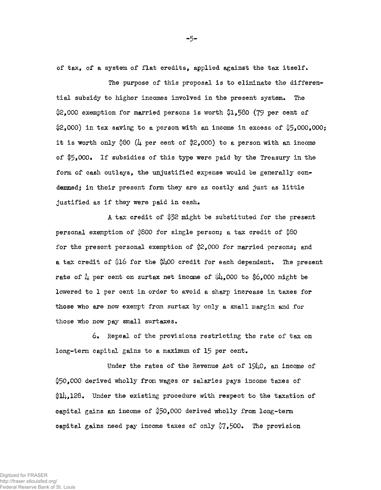of tax, of a system of flat credits, applied against the tax itself.

The purpose of this proposal is to eliminate the differential subsidy to higher incomes involved in the present system. The \$2,000 exemption for married persons is worth \$1,580 (79 per cent of  $2,000$  in tax saving to a person with an income in excess of  $5,000,000$ ; it is worth only  $$80$  ( $\mu$  per cent of  $$2,000$ ) to a person with an income of  $$5,000$ . If subsidies of this type were paid by the Treasury in the form of cash outlays, the unjustified expense would be generally condemned; in their present form they are as costly and just as little justified as if they were paid in cash.

A tax credit of #52 might be substituted for the present personal exemption of  $$800$  for single person; a tax credit of  $$80$ for the present personal exemption of \$2,000 for married persons; and a tax credit of \$16 for the \$400 credit for each dependent. The present rate of  $\mu$  per cent on surtax net income of  $\mathcal{U}_1$ ,000 to \$6,000 might be lowered to 1 per cent in order to avoid a sharp increase in taxes for those who are now exempt from surtax by only a small margin and for those who now pay small surtaxes.

6 . Repeal of the provisions restricting the rate of tax on long-term capital gains to a maximum of 15 per cent.

Under the rates of the Revenue Act of 1940, an income of 150,000 derived wholly from wages or salaries pays income taxes of  $|1|$ , 128. Under the existing procedure with respect to the taxation of capital gains an income of \$50,000 derived wholly from long-term capital gains need pay income taxes of only  $\sqrt[3]{2}$ . 500. The provision

**-5-**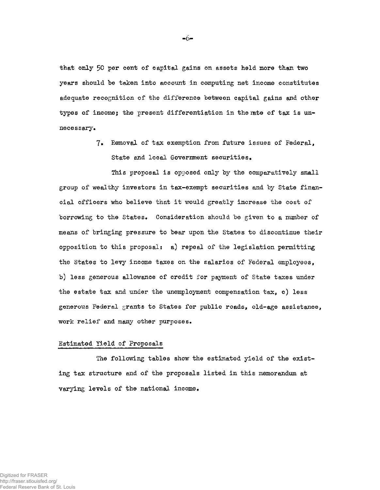that only 50 per cent of capital gains on assets held more than two years should be taken into account in computing net income constitutes adequate recognition of the difference between capital gains and other types of income; the present differentiation in the rate of tax is unnecessary.

> 7. Removal of tax exemption from future issues of Federal, State and local Government securities.

This proposal is opposed only by the comparatively small group of wealthy investors in tax-exempt securities and by State financial officers who believe that it would greatly increase the cost of borrowing to the States. Consideration should be given to a number of means of bringing pressure to bear upon the States to discontinue their opposition to this proposal: a) repeal of the legislation permitting the States to levy income taxes on the salaries of Federal employees, b) less generous allowance of credit for payment of State taxes under the estate tax and under the unemployment compensation tax, c) less generous Federal grants to States for public roads, old-age assistance, work relief and many other purposes.

#### Estimated Yield of Proposals

The following tables show the estimated yield of the existing tax structure and of the proposals listed in this memorandum at varying levels of the national income.

**-6-**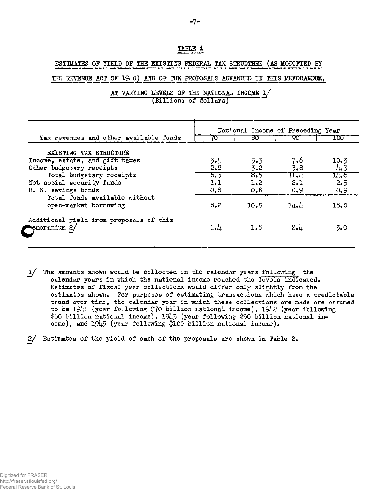#### **TABLE 1**

#### **ESTIMATES OF YIELD OF THE EXISTING FEDERAL TAX STRUDTHHE (AS MODIFIED BY**

THE REVENUE ACT OF 1940) AND OF THE PROPOSALS ADVANCED IN THIS MEMORANDUM,

|                                                                      | National Income of Preceding Year |      |      |                             |  |
|----------------------------------------------------------------------|-----------------------------------|------|------|-----------------------------|--|
| Tax revenues and other available funds                               | 70                                | 80   | 90   | 100                         |  |
| <b>EXISTING TAX STRUCTURE</b>                                        |                                   |      |      |                             |  |
| Income, estate, and gift taxes                                       | 3.5                               | 5.3  | 7.6  | 10.3                        |  |
| Other budgetary receipts                                             | 2,8                               | 3.2  | 3.8  | 4.3                         |  |
| Total budgetary receipts                                             | 6.3                               | 8.5  | 11.4 | $\overline{\mathbf{u}_1.6}$ |  |
| Net social security funds                                            | 1.1                               | 1.2  | 2.1  | 2.5                         |  |
| U. S. savings bonds                                                  | 0.8                               | 0.8  | 0.9  | 0.9                         |  |
| Total funds available without                                        |                                   |      |      |                             |  |
| open-market borrowing                                                | 8,2                               | 10.5 | 14.4 | 18.0                        |  |
| Additional yield from proposals of this<br>$\epsilon$ emorandum $2/$ | $1-l_1$                           | 1.8  | 2.1  | 3.0                         |  |

**AT VARYING LEVELS OF THE NATIONAL INCOME l/ (Billions of dollars)** 

1/ The amounts shown would be collected in the calendar years following the calendar years in which the national income reached the levels indicated. Estimates of fiscal year collections would differ only slightly from the estimates shown. For purposes of estimating transactions which have a predictable trend over time, the calendar year in which these collections are made are assumed to be  $1941$  (year following \$70 billion national income),  $1942$  (year following \$80 billion national income), 1943 (year following \$90 billion national income), and 19*b5* (year following \$100 billion national income).

 $2/$  Estimates of the yield of each of the proposals are shown in Table 2.